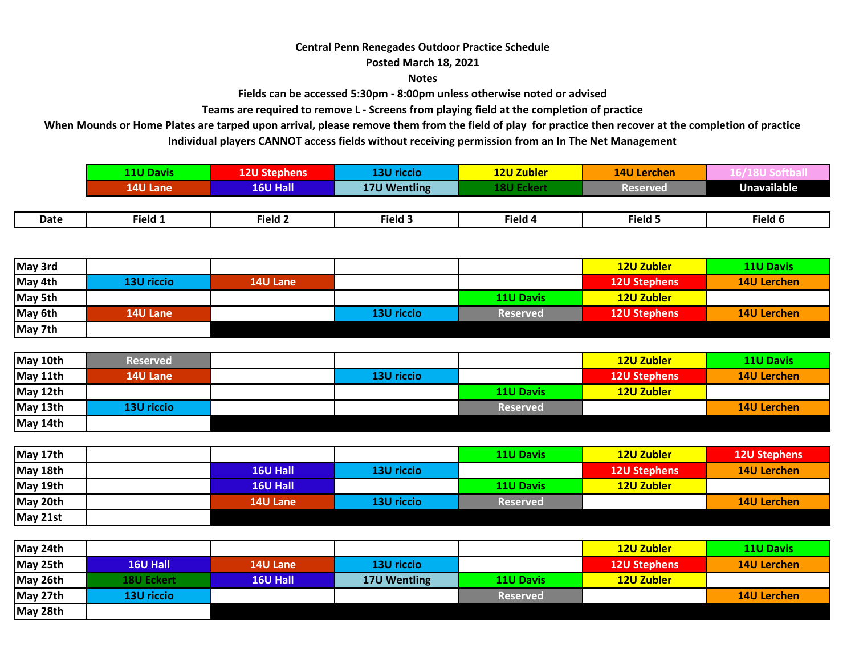## **Central Penn Renegades Outdoor Practice Schedule**

**Posted March 18, 2021**

**Notes**

**Fields can be accessed 5:30pm - 8:00pm unless otherwise noted or advised**

**Teams are required to remove L - Screens from playing field at the completion of practice**

**Individual players CANNOT access fields without receiving permission from an In The Net Management When Mounds or Home Plates are tarped upon arrival, please remove them from the field of play for practice then recover at the completion of practice**

|             | <b>11U Davis</b> | <b>12U Stephens</b>   | <b>13U riccio</b> | <b>12U Zubler</b> | <b>14U Lerchen</b> |                    |
|-------------|------------------|-----------------------|-------------------|-------------------|--------------------|--------------------|
|             | <b>14U Lane</b>  | 16U Hall <sup>1</sup> | 17U Wentling      | 18U Eckert        | <b>Reserved</b>    | <b>Unavailable</b> |
|             |                  |                       |                   |                   |                    |                    |
| <b>Date</b> | Field 1          | Field 2               | Field 3           | Field 4           | Field 5            | Field 6            |

| May 3rd |            |                 |            |                  | <b>12U Zubler</b>   | <b>11U Davis</b>   |
|---------|------------|-----------------|------------|------------------|---------------------|--------------------|
| May 4th | 13U riccio | <b>14U Lane</b> |            |                  | <b>12U Stephens</b> | <b>14U Lerchen</b> |
| May 5th |            |                 |            | <b>11U Davis</b> | 12U Zubler          |                    |
| May 6th | 14U Lane   |                 | 13U riccio | <b>Reserved</b>  | <b>12U Stephens</b> | <b>14U Lerchen</b> |
| May 7th |            |                 |            |                  |                     |                    |

| May 10th | <b>Reserved</b> |            |                  | <b>12U Zubler</b>   | <b>11U Davis</b>   |
|----------|-----------------|------------|------------------|---------------------|--------------------|
| May 11th | <b>14U Lane</b> | 13U riccio |                  | <b>12U Stephens</b> | <b>14U Lerchen</b> |
| May 12th |                 |            | <b>11U Davis</b> | <b>12U Zubler</b>   |                    |
| May 13th | 13U riccio      |            | <b>Reserved</b>  |                     | <b>14U Lerchen</b> |
| May 14th |                 |            |                  |                     |                    |

| May 17th |                 |            | <b>11U Davis</b> | 12U Zubler          | <b>12U Stephens</b> |
|----------|-----------------|------------|------------------|---------------------|---------------------|
| May 18th | <b>16U Hall</b> | 13U riccio |                  | <b>12U Stephens</b> | <b>14U Lerchen</b>  |
| May 19th | 16U Hall        |            | <b>11U Davis</b> | 12U Zubler          |                     |
| May 20th | <b>14U Lane</b> | 13U riccio | <b>Reserved</b>  |                     | <b>14U Lerchen</b>  |
| May 21st |                 |            |                  |                     |                     |

| May 24th |                   |                 |              |                  | <b>12U Zubler</b>   | <b>11U Davis</b>   |
|----------|-------------------|-----------------|--------------|------------------|---------------------|--------------------|
| May 25th | <b>16U Hall</b>   | <b>14U Lane</b> | 13U riccio   |                  | <b>12U Stephens</b> | <b>14U Lerchen</b> |
| May 26th | <b>18U Eckert</b> | 16U Hall        | 17U Wentling | <b>11U Davis</b> | 12U Zubler          |                    |
| May 27th | 13U riccio        |                 |              | <b>Reserved</b>  |                     | <b>14U Lerchen</b> |
| May 28th |                   |                 |              |                  |                     |                    |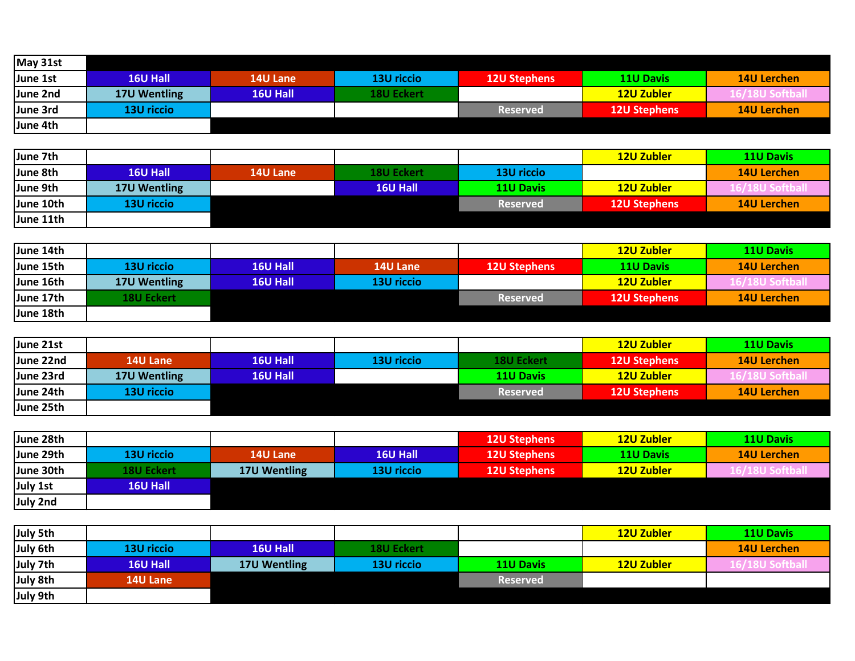| May 31st |                   |                 |                   |                     |                     |                    |
|----------|-------------------|-----------------|-------------------|---------------------|---------------------|--------------------|
| June 1st | <b>16U Hall</b>   | <b>14U Lane</b> | 13U riccio        | <b>12U Stephens</b> | <b>11U Davis</b>    | <b>14U Lerchen</b> |
| June 2nd | 17U Wentling      | 16U Hall        | <b>18U Eckert</b> |                     | <b>12U Zubler</b>   | 6/18U Softball     |
| June 3rd | <b>13U riccio</b> |                 |                   | <b>Reserved</b>     | <b>12U Stephens</b> | <b>14U Lerchen</b> |
| June 4th |                   |                 |                   |                     |                     |                    |

| June 7th  |              |          |                   |                  | 12U Zubler          | <b>11U Davis</b>   |
|-----------|--------------|----------|-------------------|------------------|---------------------|--------------------|
| June 8th  | 16U Hall     | 14U Lane | <b>18U Eckert</b> | 13U riccio       |                     | <b>14U Lerchen</b> |
| June 9th  | 17U Wentling |          | 16U Hall          | <b>11U Davis</b> | 12U Zubler          | 6/18U Softball     |
| June 10th | 13U riccio   |          |                   | <b>Reserved</b>  | <b>12U Stephens</b> | <b>14U Lerchen</b> |
| June 11th |              |          |                   |                  |                     |                    |

| June 14th |                   |          |                 |                     | 12U Zubler          | <b>11U Davis</b>   |
|-----------|-------------------|----------|-----------------|---------------------|---------------------|--------------------|
| June 15th | 13U riccio        | 16U Hall | <b>14U Lane</b> | <b>12U Stephens</b> | <b>11U Davis</b>    | <b>14U Lerchen</b> |
| June 16th | 17U Wentling      | 16U Hall | 13U riccio      |                     | 12U Zubler          | 16/18U Softball    |
| June 17th | <b>18U Eckert</b> |          |                 | <b>Reserved</b>     | <b>12U Stephens</b> | <b>14U Lerchen</b> |
| June 18th |                   |          |                 |                     |                     |                    |

| June 21st |                 |                 |                   |                   | <b>12U Zubler</b>   | <b>11U Davis</b>   |
|-----------|-----------------|-----------------|-------------------|-------------------|---------------------|--------------------|
| June 22nd | <b>14U Lane</b> | <b>16U Hall</b> | <b>13U riccio</b> | <b>18U Eckert</b> | <b>12U Stephens</b> | <b>14U Lerchen</b> |
| June 23rd | 17U Wentling    | <b>16U Hall</b> |                   | <b>11U Davis</b>  | 12U Zubler          | 16/18U Softball    |
| June 24th | 13U riccio      |                 |                   | <b>Reserved</b>   | <b>12U Stephens</b> | <b>14U Lerchen</b> |
| June 25th |                 |                 |                   |                   |                     |                    |

| June 28th       |                   |                 |                   | <b>12U Stephens</b> | 12U Zubler       | <b>11U Davis</b>   |
|-----------------|-------------------|-----------------|-------------------|---------------------|------------------|--------------------|
| June 29th       | 13U riccio        | <b>14U Lane</b> | 16U Hall          | <b>12U Stephens</b> | <b>11U Davis</b> | <b>14U Lerchen</b> |
| June 30th       | <b>18U Eckert</b> | 17U Wentling    | <b>13U riccio</b> | <b>12U Stephens</b> | 12U Zubler       | 16/18U Softball    |
| <b>July 1st</b> | <b>16U Hall</b>   |                 |                   |                     |                  |                    |
| <b>July 2nd</b> |                   |                 |                   |                     |                  |                    |

| July 5th        |                   |                 |                   |                  | <b>12U Zubler</b> | <b>11U Davis</b>   |
|-----------------|-------------------|-----------------|-------------------|------------------|-------------------|--------------------|
| July 6th        | <b>13U riccio</b> | <b>16U Hall</b> | <b>18U Eckert</b> |                  |                   | <b>14U Lerchen</b> |
| July 7th        | 16U Hall          | 17U Wentling    | 13U riccio        | <b>11U Davis</b> | <b>12U Zubler</b> | $911CA46 - 11$     |
| <b>July 8th</b> | 14U Lane          |                 |                   | <b>Reserved</b>  |                   |                    |
| July 9th        |                   |                 |                   |                  |                   |                    |